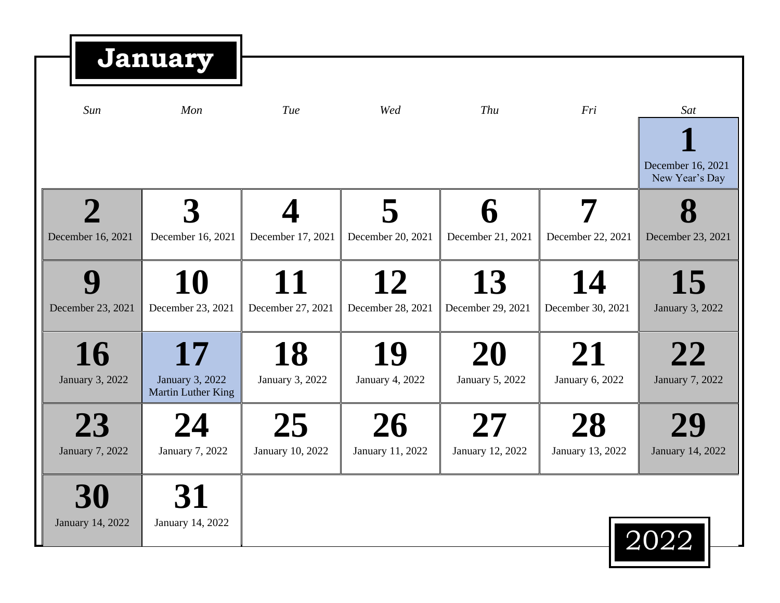|                              | <b>January</b>                              |                         |                         |                                              |                         |                                     |
|------------------------------|---------------------------------------------|-------------------------|-------------------------|----------------------------------------------|-------------------------|-------------------------------------|
| Sun                          | Mon                                         | Tue                     | Wed                     | Thu                                          | Fri                     | Sat                                 |
|                              |                                             |                         |                         |                                              |                         | December 16, 2021<br>New Year's Day |
| December 16, 2021            | December 16, 2021                           | December 17, 2021       | December 20, 2021       | December 21, 2021                            | December 22, 2021       | December 23, 2021                   |
| December 23, 2021            | 10<br>December 23, 2021                     | 11<br>December 27, 2021 | 12<br>December 28, 2021 | 13<br>December 29, 2021                      | 14<br>December 30, 2021 | 15<br>January 3, 2022               |
| 16<br>January 3, 2022        | 17<br>January 3, 2022<br>Martin Luther King | 18<br>January 3, 2022   | 19<br>January 4, 2022   | 20<br>January 5, 2022                        | 21<br>January 6, 2022   | 22<br>January 7, 2022               |
| 23<br><b>January 7, 2022</b> | January 7, 2022                             | 25<br>January 10, 2022  | 26<br>January 11, 2022  | $\mathcal{L}^{\prime}$ /<br>January 12, 2022 | 28<br>January 13, 2022  | January 14, 2022                    |
| 30<br>January 14, 2022       | 31<br>January 14, 2022                      |                         |                         |                                              |                         | 2022                                |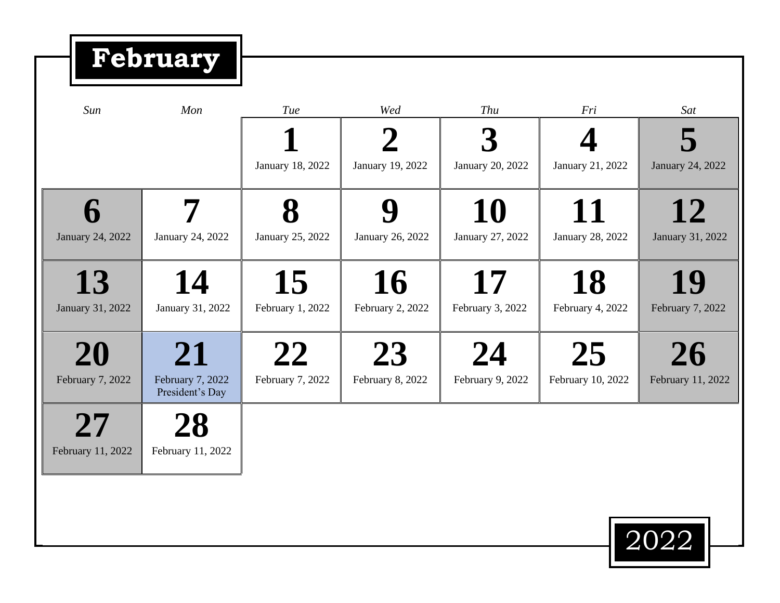**February**

| Sun                     | Mon                                       | <b>Tue</b>             | Wed                             | Thu                    | Fri                     | Sat                     |
|-------------------------|-------------------------------------------|------------------------|---------------------------------|------------------------|-------------------------|-------------------------|
|                         |                                           | January 18, 2022       | $\mathbf 2$<br>January 19, 2022 | January 20, 2022       | January 21, 2022        | January 24, 2022        |
| January 24, 2022        | January 24, 2022                          | January 25, 2022       | January 26, 2022                | 10<br>January 27, 2022 | 11<br>January 28, 2022  | 12<br>January 31, 2022  |
| 13<br>January 31, 2022  | 14<br>January 31, 2022                    | 15<br>February 1, 2022 | 16<br>February 2, 2022          | 17<br>February 3, 2022 | 18<br>February 4, 2022  | 19<br>February 7, 2022  |
| 20<br>February 7, 2022  | 21<br>February 7, 2022<br>President's Day | 22<br>February 7, 2022 | 23<br>February 8, 2022          | 24<br>February 9, 2022 | 25<br>February 10, 2022 | 26<br>February 11, 2022 |
| 27<br>February 11, 2022 | February 11, 2022                         |                        |                                 |                        |                         |                         |
|                         |                                           |                        |                                 |                        |                         |                         |

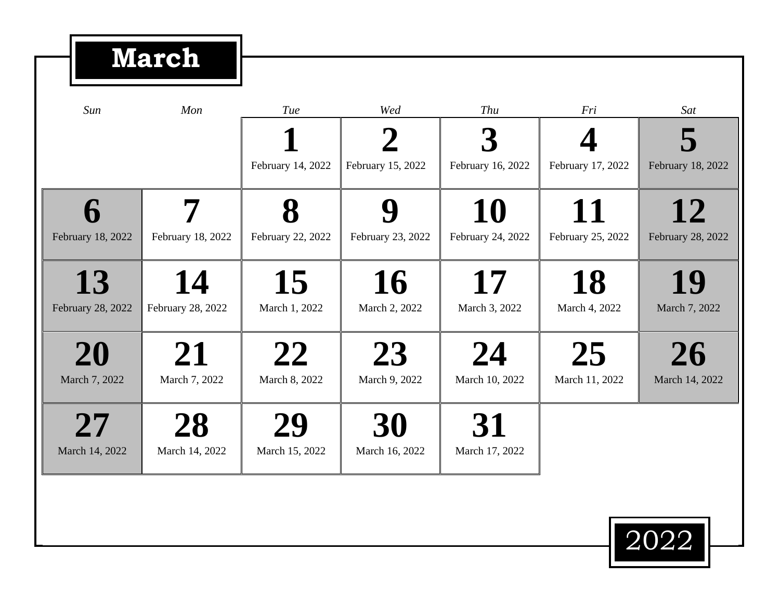## **March**

| Sun               | Mon               | Tue               | Wed               | Thu               | Fri               | Sat               |
|-------------------|-------------------|-------------------|-------------------|-------------------|-------------------|-------------------|
|                   |                   |                   |                   |                   |                   |                   |
|                   |                   | February 14, 2022 | February 15, 2022 | February 16, 2022 | February 17, 2022 | February 18, 2022 |
|                   |                   |                   |                   | 10                | 11                | 12                |
| February 18, 2022 | February 18, 2022 | February 22, 2022 | February 23, 2022 | February 24, 2022 | February 25, 2022 | February 28, 2022 |
| 13                | 14                | 15                | 16                | 17                | 18                | 19                |
| February 28, 2022 | February 28, 2022 | March 1, 2022     | March 2, 2022     | March 3, 2022     | March 4, 2022     | March 7, 2022     |
| 20                | 71                | 22                | 23                | 24                | 25                | 26                |
| March 7, 2022     | March 7, 2022     | March 8, 2022     | March 9, 2022     | March 10, 2022    | March 11, 2022    | March 14, 2022    |
| 27                |                   | 29                | 30                | 31                |                   |                   |
| March 14, 2022    | March 14, 2022    | March 15, 2022    | March 16, 2022    | March 17, 2022    |                   |                   |

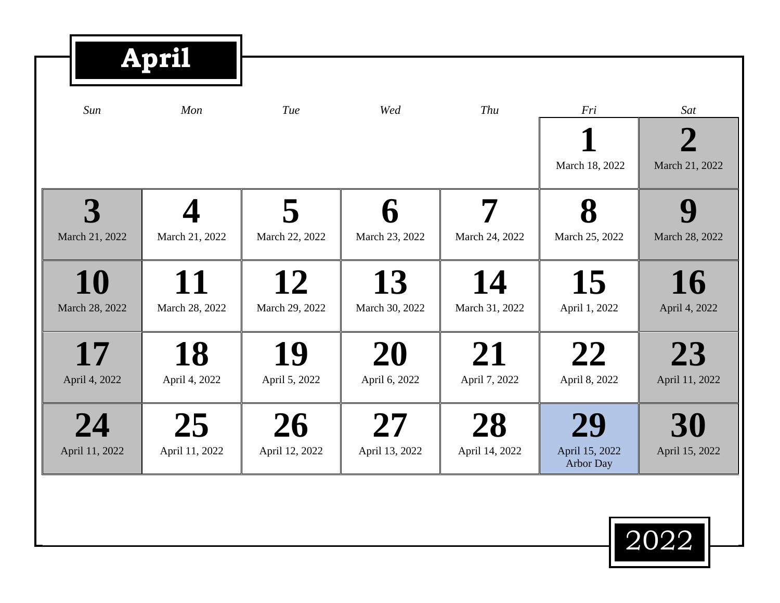|                      | <b>April</b>         |                      |                      |                      |                                   |                               |  |
|----------------------|----------------------|----------------------|----------------------|----------------------|-----------------------------------|-------------------------------|--|
| Sun                  | Mon                  | Tue                  | Wed                  | Thu                  | Fri                               | Sat                           |  |
|                      |                      |                      |                      |                      | March 18, 2022                    | $\mathbf 2$<br>March 21, 2022 |  |
| March 21, 2022       | March 21, 2022       | 5<br>March 22, 2022  | ĥ<br>March 23, 2022  | March 24, 2022       | 8<br>March 25, 2022               | Q<br>March 28, 2022           |  |
| 10<br>March 28, 2022 | 11<br>March 28, 2022 | 12<br>March 29, 2022 | 13<br>March 30, 2022 | 14<br>March 31, 2022 | 15<br>April 1, 2022               | 16<br>April 4, 2022           |  |
| 17<br>April 4, 2022  | 18<br>April 4, 2022  | 19<br>April 5, 2022  | 20<br>April 6, 2022  | 21<br>April 7, 2022  | 22<br>April 8, 2022               | 23<br>April 11, 2022          |  |
| 24<br>April 11, 2022 | 25<br>April 11, 2022 | 26<br>April 12, 2022 | 27<br>April 13, 2022 | 28<br>April 14, 2022 | 29<br>April 15, 2022<br>Arbor Day | 30<br>April 15, 2022          |  |
|                      |                      |                      |                      |                      |                                   | 2022                          |  |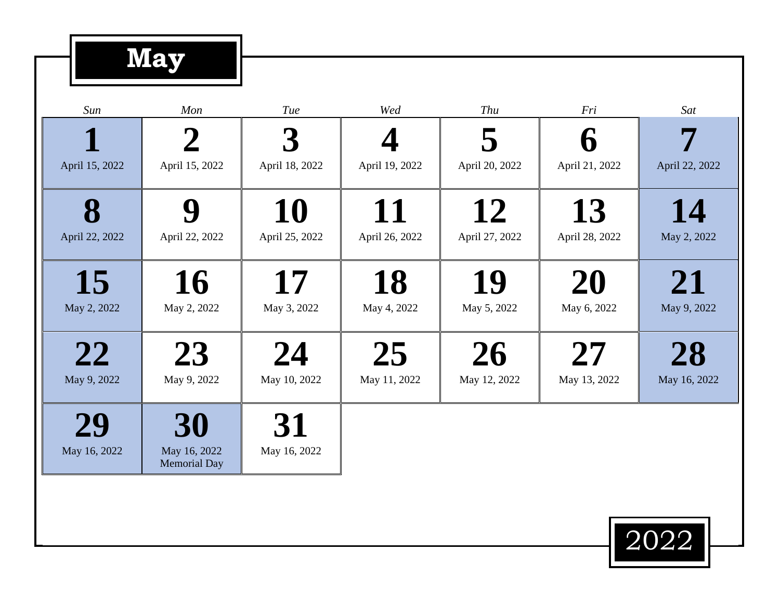## **May**

| Sun                 | Mon                                       | <b>Tue</b>           | Wed                  | <b>Thu</b>           | Fri                   | Sat                |
|---------------------|-------------------------------------------|----------------------|----------------------|----------------------|-----------------------|--------------------|
|                     |                                           | 3                    |                      |                      | $\boldsymbol{\theta}$ |                    |
| April 15, 2022      | April 15, 2022                            | April 18, 2022       | April 19, 2022       | April 20, 2022       | April 21, 2022        | April 22, 2022     |
| 8<br>April 22, 2022 | April 22, 2022                            | 10<br>April 25, 2022 | 11<br>April 26, 2022 | 12<br>April 27, 2022 | 13<br>April 28, 2022  | 14<br>May 2, 2022  |
|                     |                                           | 17                   |                      |                      |                       |                    |
| 15<br>May 2, 2022   | 16<br>May 2, 2022                         | May 3, 2022          | 18<br>May 4, 2022    | 19<br>May 5, 2022    | 20<br>May 6, 2022     | 21<br>May 9, 2022  |
| 22<br>May 9, 2022   | 23<br>May 9, 2022                         | 24<br>May 10, 2022   | 25<br>May 11, 2022   | 26<br>May 12, 2022   | 27<br>May 13, 2022    | 28<br>May 16, 2022 |
| 29<br>May 16, 2022  | 30<br>May 16, 2022<br><b>Memorial Day</b> | 31<br>May 16, 2022   |                      |                      |                       |                    |
|                     |                                           |                      |                      |                      |                       |                    |

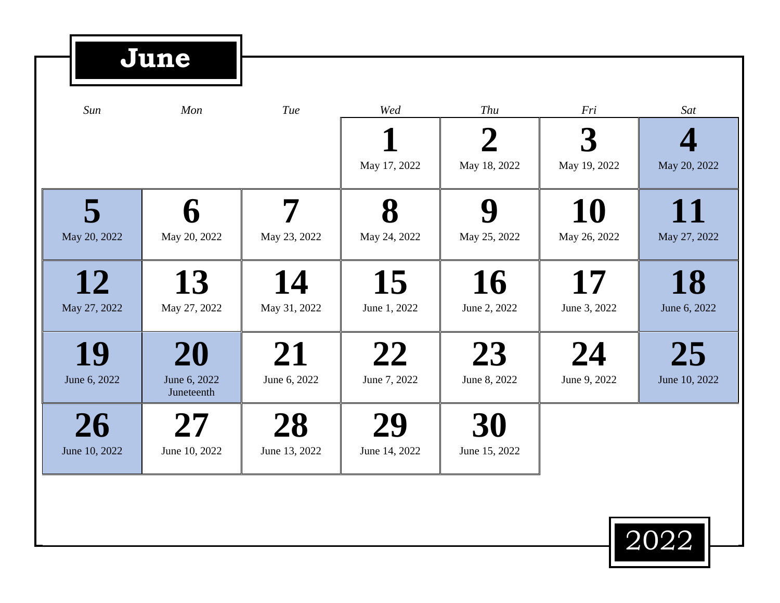## **June**

| Sun                 | Mon                              | Tue                 | Wed                 | Thu                 | Fri                | Sat                 |
|---------------------|----------------------------------|---------------------|---------------------|---------------------|--------------------|---------------------|
|                     |                                  |                     | May 17, 2022        | May 18, 2022        | May 19, 2022       | May 20, 2022        |
| May 20, 2022        | May 20, 2022                     | May 23, 2022        | May 24, 2022        | May 25, 2022        | 10<br>May 26, 2022 | 11<br>May 27, 2022  |
| 12<br>May 27, 2022  | 13<br>May 27, 2022               | 14<br>May 31, 2022  | 15<br>June 1, 2022  | 16<br>June 2, 2022  | 17<br>June 3, 2022 | 18<br>June 6, 2022  |
| 19<br>June 6, 2022  | 20<br>June 6, 2022<br>Juneteenth | 21<br>June 6, 2022  | 22<br>June 7, 2022  | 23<br>June 8, 2022  | 24<br>June 9, 2022 | 25<br>June 10, 2022 |
| 26<br>June 10, 2022 | June 10, 2022                    | 28<br>June 13, 2022 | 29<br>June 14, 2022 | 30<br>June 15, 2022 |                    |                     |

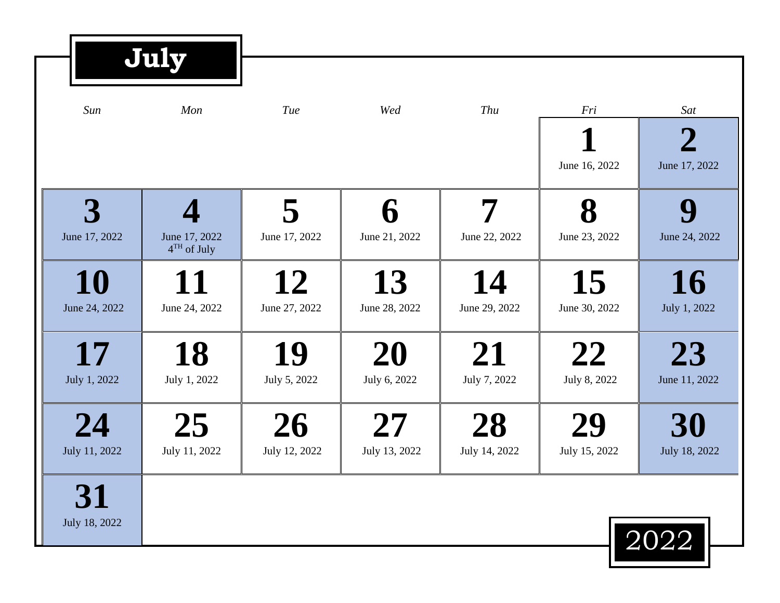| July                |                                |                     |                     |                     |                     |                                 |  |
|---------------------|--------------------------------|---------------------|---------------------|---------------------|---------------------|---------------------------------|--|
| Sun                 | Mon                            | Tue                 | Wed                 | Thu                 | Fri                 | Sat                             |  |
|                     |                                |                     |                     |                     | June 16, 2022       | $\overline{2}$<br>June 17, 2022 |  |
| June 17, 2022       | June 17, 2022<br>$4TH$ of July | 5<br>June 17, 2022  | June 21, 2022       | June 22, 2022       | 8<br>June 23, 2022  | June 24, 2022                   |  |
| 10<br>June 24, 2022 | June 24, 2022                  | 12<br>June 27, 2022 | 13<br>June 28, 2022 | 14<br>June 29, 2022 | 15<br>June 30, 2022 | 16<br>July 1, 2022              |  |
| 17<br>July 1, 2022  | 18<br>July 1, 2022             | 19<br>July 5, 2022  | 20<br>July 6, 2022  | 21<br>July 7, 2022  | 22<br>July 8, 2022  | 23<br>June 11, 2022             |  |
| 24<br>July 11, 2022 | 25<br>July 11, 2022            | 26<br>July 12, 2022 | 27<br>July 13, 2022 | 28<br>July 14, 2022 | 29<br>July 15, 2022 | 30<br>July 18, 2022             |  |
| 31<br>July 18, 2022 |                                |                     |                     |                     |                     |                                 |  |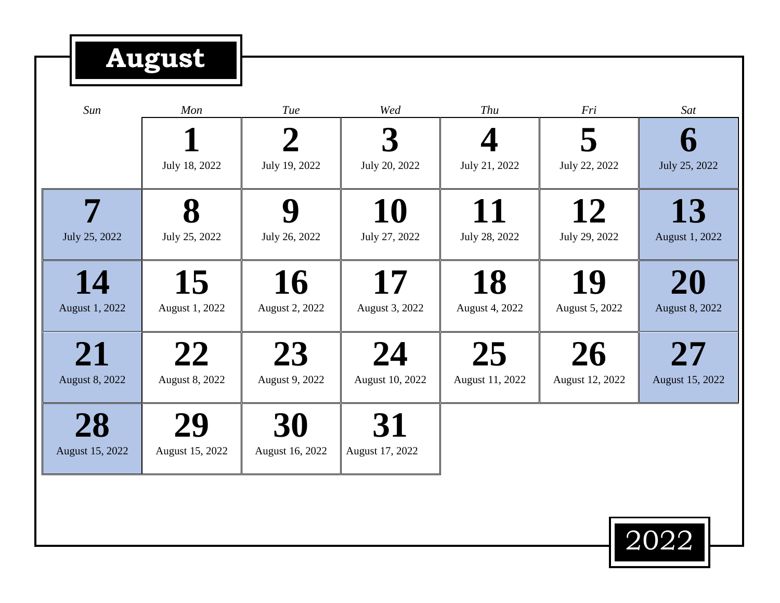## **August**

| Sun                   | Mon             | <b>Tue</b>      | Wed             | Thu             | Fri             | Sat                   |
|-----------------------|-----------------|-----------------|-----------------|-----------------|-----------------|-----------------------|
|                       |                 | 2               |                 |                 | 5               |                       |
|                       | July 18, 2022   | July 19, 2022   | July 20, 2022   | July 21, 2022   | July 22, 2022   | July 25, 2022         |
|                       |                 | Q               | 10              | 11              | 12              | 13                    |
| July 25, 2022         | July 25, 2022   | July 26, 2022   | July 27, 2022   | July 28, 2022   | July 29, 2022   | August 1, 2022        |
| 14                    | 15              | 16              | 17              | 18              | 19              | 20                    |
| August 1, 2022        | August 1, 2022  | August 2, 2022  | August 3, 2022  | August 4, 2022  | August 5, 2022  | <b>August 8, 2022</b> |
| 21                    | 22              | 23              | 24              | 25              | 26              | 27                    |
| <b>August 8, 2022</b> | August 8, 2022  | August 9, 2022  | August 10, 2022 | August 11, 2022 | August 12, 2022 | August 15, 2022       |
| 28                    | 29              | 30              | 31              |                 |                 |                       |
| August 15, 2022       | August 15, 2022 | August 16, 2022 | August 17, 2022 |                 |                 |                       |
|                       |                 |                 |                 |                 |                 |                       |

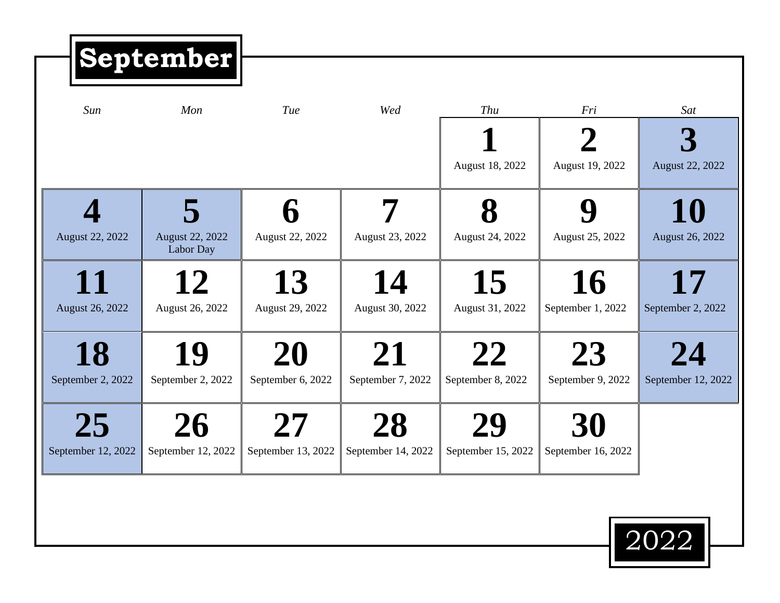| <b>September</b>             |                          |                          |                         |                                       |                          |
|------------------------------|--------------------------|--------------------------|-------------------------|---------------------------------------|--------------------------|
| Mon                          | Tue                      | Wed                      | Thu<br>August 18, 2022  | Fri<br>$\mathbf 2$<br>August 19, 2022 | Sat<br>August 22, 2022   |
| August 22, 2022<br>Labor Day | August 22, 2022          | August 23, 2022          | August 24, 2022         | Y<br>August 25, 2022                  | 10<br>August 26, 2022    |
| August 26, 2022              | 13<br>August 29, 2022    | 14<br>August 30, 2022    | 15<br>August 31, 2022   | 16<br>September 1, 2022               | 17<br>September 2, 2022  |
| 19<br>September 2, 2022      | 20<br>September 6, 2022  | 21<br>September 7, 2022  | 22<br>September 8, 2022 | 23<br>September 9, 2022               | 24<br>September 12, 2022 |
| 26<br>September 12, 2022     | 27<br>September 13, 2022 | 28<br>September 14, 2022 | September 15, 2022      | September 16, 2022                    |                          |
|                              |                          |                          |                         |                                       |                          |

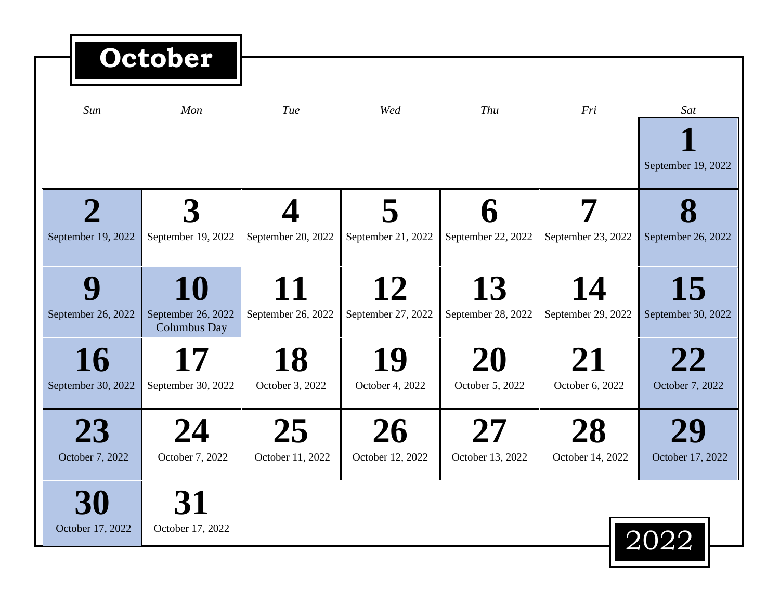| October                  |                                                 |                          |                          |                          |                               |                          |
|--------------------------|-------------------------------------------------|--------------------------|--------------------------|--------------------------|-------------------------------|--------------------------|
| Sun                      | Mon                                             | Tue                      | Wed                      | Thu                      | Fri                           | Sat                      |
|                          |                                                 |                          |                          |                          |                               | September 19, 2022       |
| September 19, 2022       | September 19, 2022                              | September 20, 2022       | September 21, 2022       | September 22, 2022       | September 23, 2022            | September 26, 2022       |
| September 26, 2022       | 10<br>September 26, 2022<br><b>Columbus Day</b> | 11<br>September 26, 2022 | 12<br>September 27, 2022 | 13<br>September 28, 2022 | 14<br>September 29, 2022      | 15<br>September 30, 2022 |
| 16<br>September 30, 2022 | 17<br>September 30, 2022                        | 18<br>October 3, 2022    | 19<br>October 4, 2022    | 20<br>October 5, 2022    | 21<br>October 6, 2022         | 22<br>October 7, 2022    |
| 23<br>October 7, 2022    | October 7, 2022                                 | 25<br>October 11, 2022   | 26<br>October 12, 2022   | October 13, 2022         | <b>28</b><br>October 14, 2022 | October 17, 2022         |
| 30<br>October 17, 2022   | 31<br>October 17, 2022                          |                          |                          |                          |                               | $\boxed{2022}$           |

. .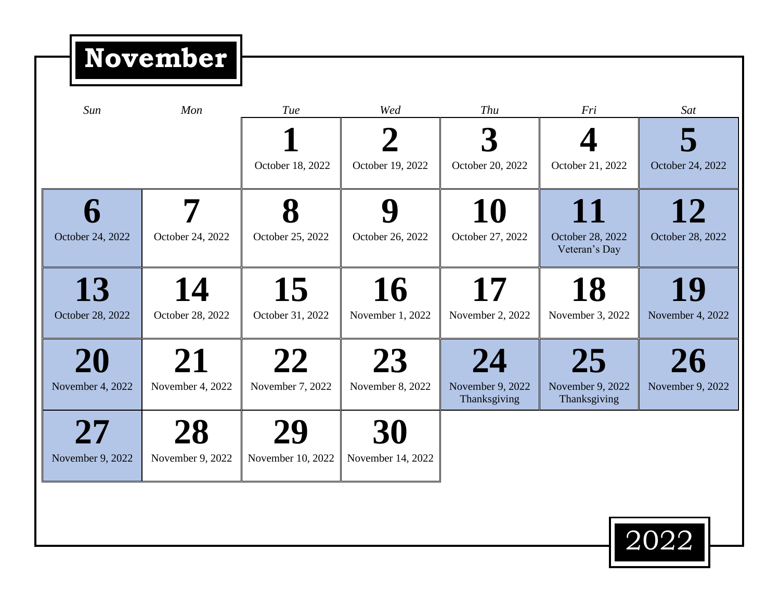**November**

| Sun              | Mon              | Tue               | Wed               | Thu                              | Fri                               | Sat              |
|------------------|------------------|-------------------|-------------------|----------------------------------|-----------------------------------|------------------|
|                  |                  |                   |                   |                                  |                                   |                  |
|                  |                  | October 18, 2022  | October 19, 2022  | October 20, 2022                 | October 21, 2022                  | October 24, 2022 |
|                  |                  |                   |                   | 10                               | 11                                | 12               |
| October 24, 2022 | October 24, 2022 | October 25, 2022  | October 26, 2022  | October 27, 2022                 | October 28, 2022<br>Veteran's Day | October 28, 2022 |
| 13               | 14               | 15                | 16                | 17                               | 18                                | 19               |
| October 28, 2022 | October 28, 2022 | October 31, 2022  | November 1, 2022  | November 2, 2022                 | November 3, 2022                  | November 4, 2022 |
| 20               | 21               | 22                | 23                | 24                               | 25                                | 26               |
| November 4, 2022 | November 4, 2022 | November 7, 2022  | November 8, 2022  | November 9, 2022<br>Thanksgiving | November 9, 2022<br>Thanksgiving  | November 9, 2022 |
| 27               |                  | 29                | 30                |                                  |                                   |                  |
| November 9, 2022 | November 9, 2022 | November 10, 2022 | November 14, 2022 |                                  |                                   |                  |
|                  |                  |                   |                   |                                  |                                   |                  |